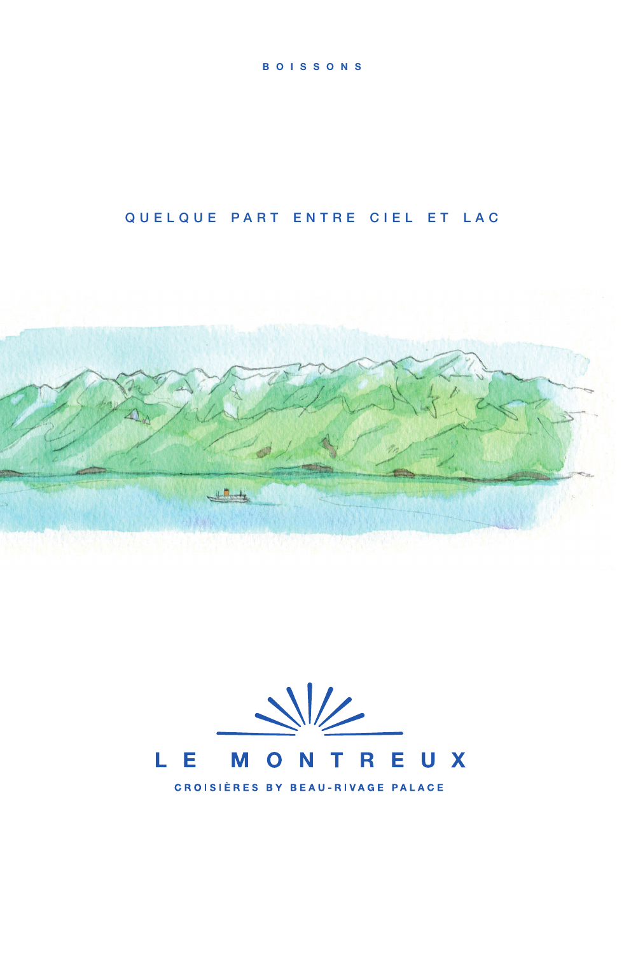#### **BOISSONS**

# QUELQUE PART ENTRE CIEL ET LAC







**CROISIÈRES BY BEAU-RIVAGE PALACE**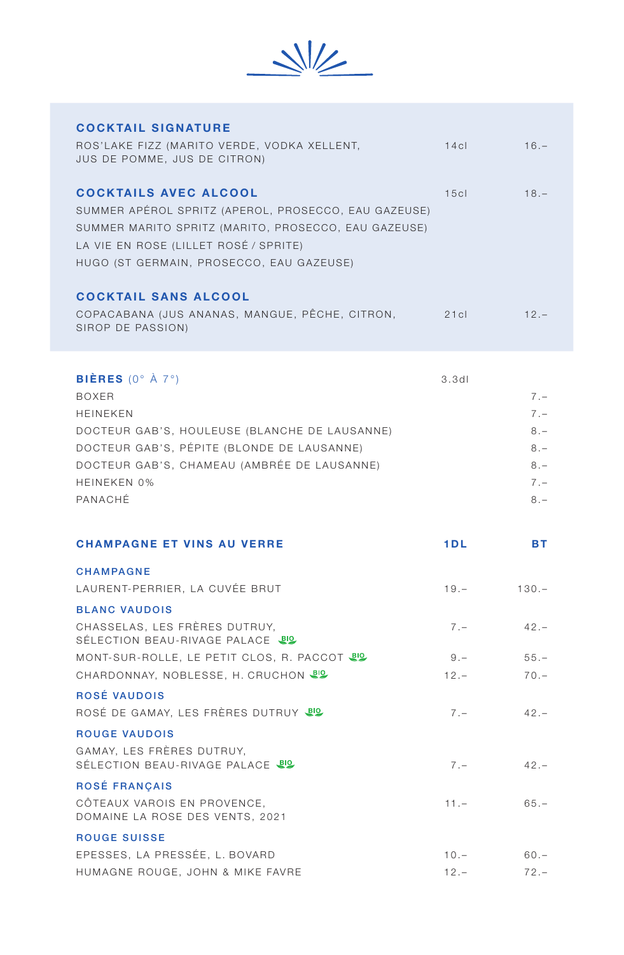

| <b>COCKTAIL SIGNATURE</b>                                                                                                                                                                                                                         |                   |                                                             |
|---------------------------------------------------------------------------------------------------------------------------------------------------------------------------------------------------------------------------------------------------|-------------------|-------------------------------------------------------------|
| ROS'LAKE FIZZ (MARITO VERDE, VODKA XELLENT,<br>JUS DE POMME, JUS DE CITRON)                                                                                                                                                                       | 14c               | $16. -$                                                     |
| <b>COCKTAILS AVEC ALCOOL</b><br>SUMMER APÉROL SPRITZ (APEROL, PROSECCO, EAU GAZEUSE)<br>SUMMER MARITO SPRITZ (MARITO, PROSECCO, EAU GAZEUSE)<br>LA VIE EN ROSE (LILLET ROSÉ / SPRITE)<br>HUGO (ST GERMAIN, PROSECCO, EAU GAZEUSE)                 | 15c               | $18. -$                                                     |
| <b>COCKTAIL SANS ALCOOL</b><br>COPACABANA (JUS ANANAS, MANGUE, PÊCHE, CITRON,<br>SIROP DE PASSION)                                                                                                                                                | 21c               | $12 -$                                                      |
| <b>BIÈRES</b> (0° $\hat{A}$ 7°)<br><b>BOXER</b><br><b>HEINEKEN</b><br>DOCTEUR GAB'S, HOULEUSE (BLANCHE DE LAUSANNE)<br>DOCTEUR GAB'S, PÉPITE (BLONDE DE LAUSANNE)<br>DOCTEUR GAB'S, CHAMEAU (AMBRÉE DE LAUSANNE)<br><b>HEINEKEN 0%</b><br>PANACHÉ | 3.3d              | $7 -$<br>$7 -$<br>$8 -$<br>$8 -$<br>$8 -$<br>$7 -$<br>$8 -$ |
|                                                                                                                                                                                                                                                   |                   |                                                             |
| <b>CHAMPAGNE ET VINS AU VERRE</b>                                                                                                                                                                                                                 | 1DL               | <b>BT</b>                                                   |
| <b>CHAMPAGNE</b>                                                                                                                                                                                                                                  |                   |                                                             |
| LAURENT-PERRIER, LA CUVÉE BRUT                                                                                                                                                                                                                    | $19. -$           | $130 -$                                                     |
| <b>BLANC VAUDOIS</b>                                                                                                                                                                                                                              |                   |                                                             |
| CHASSELAS, LES FRÈRES DUTRUY,<br>SÉLECTION BEAU-RIVAGE PALACE US                                                                                                                                                                                  | $7 -$             | $42. -$                                                     |
| MONT-SUR-ROLLE, LE PETIT CLOS, R. PACCOT UP                                                                                                                                                                                                       | $9 -$             | $55. -$                                                     |
| CHARDONNAY, NOBLESSE, H. CRUCHON US                                                                                                                                                                                                               | $12. -$           | $70 -$                                                      |
| ROSÉ VAUDOIS                                                                                                                                                                                                                                      |                   |                                                             |
| ROSÉ DE GAMAY, LES FRÈRES DUTRUY JO                                                                                                                                                                                                               | $7 -$             | $42 -$                                                      |
| <b>ROUGE VAUDOIS</b>                                                                                                                                                                                                                              |                   |                                                             |
| GAMAY, LES FRÈRES DUTRUY,<br>SÉLECTION BEAU-RIVAGE PALACE UP                                                                                                                                                                                      | $7 -$             | $42 -$                                                      |
| <b>ROSÉ FRANÇAIS</b>                                                                                                                                                                                                                              |                   |                                                             |
| CÔTEAUX VAROIS EN PROVENCE,<br>DOMAINE LA ROSE DES VENTS, 2021                                                                                                                                                                                    | $11. -$           | $65. -$                                                     |
| <b>ROUGE SUISSE</b>                                                                                                                                                                                                                               |                   |                                                             |
| EPESSES, LA PRESSÉE, L. BOVARD<br>HUMAGNE ROUGE, JOHN & MIKE FAVRE                                                                                                                                                                                | $10. -$<br>$12 -$ | $60 -$<br>$72 -$                                            |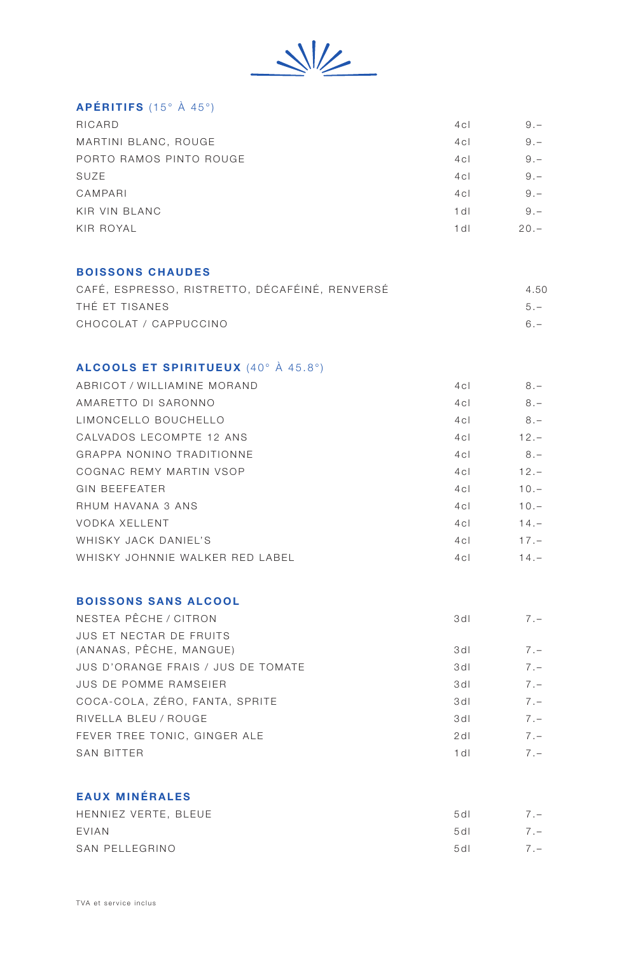

## APÉRITIFS (15° À 45°)

| RICARD                  | 4 <sub>c</sub> | $9 -$  |
|-------------------------|----------------|--------|
| MARTINI BLANC, ROUGE    | 4c1            | $9 -$  |
| PORTO RAMOS PINTO ROUGE | 4 <sub>c</sub> | $9 -$  |
| SUZE                    | 4 <sub>c</sub> | $9 -$  |
| CAMPARI                 | 4 <sub>c</sub> | $9 -$  |
| KIR VIN BLANC           | 1 dl           | $9 -$  |
| KIR ROYAL               | 1 dl           | $20 -$ |
|                         |                |        |

#### BOISSONS CHAUDES

| CAFÉ, ESPRESSO, RISTRETTO, DÉCAFÉINÉ, RENVERSÉ | 4.50  |
|------------------------------------------------|-------|
| THÉ FT TISANES                                 | $5 -$ |
| CHOCOLAT / CAPPUCCINO                          | $6 -$ |

### ALCOOLS ET SPIRITUEUX (40° À 45.8°)

| ABRICOT / WILLIAMINE MORAND     | 4c1 | $8 -$   |
|---------------------------------|-----|---------|
| AMARETTO DI SARONNO             | 4c1 | $8 -$   |
| <b>I IMONCELLO BOUCHELLO</b>    | 4c1 | $8 -$   |
| CALVADOS LECOMPTE 12 ANS        | 4c1 | $12 -$  |
| GRAPPA NONINO TRADITIONNE       | 4c1 | $8 -$   |
| COGNAC REMY MARTIN VSOP         | 4c1 | $12 -$  |
| GIN BEFFFATER                   | 4c1 | $10 -$  |
| RHUM HAVANA 3 ANS               | 4c1 | $10 -$  |
| <b>VODKA XELLENT</b>            | 4c1 | $14. -$ |
| WHISKY JACK DANIFI'S            | 4c1 | $17 -$  |
| WHISKY JOHNNIE WALKER RED LABEL | 4c1 | $14. -$ |
|                                 |     |         |

### BOISSONS SANS ALCOOL

| NESTEA PÊCHE / CITRON                                     | 3 d l            | $7 -$ |
|-----------------------------------------------------------|------------------|-------|
| <b>JUS ET NECTAR DE FRUITS</b><br>(ANANAS, PÊCHE, MANGUE) | 3d1              | $7 -$ |
| JUS D'ORANGE FRAIS / JUS DE TOMATE                        | 3d1              | $7 -$ |
| <b>JUS DE POMME RAMSEIER</b>                              | 3d1              | $7 -$ |
| COCA-COLA, ZÉRO, FANTA, SPRITE                            | 3d               | $7 -$ |
| RIVELLA BLEU / ROUGE                                      | 3d1              | $7 -$ |
| FEVER TREE TONIC. GINGER ALE                              | $2$ d            | $7 -$ |
| <b>SAN BITTER</b>                                         | 1 d <sub>l</sub> | $7 -$ |
|                                                           |                  |       |

### EAUX MINÉRALES

| HENNIEZ VERTE, BLEUE | 5d1   | $\sqrt{2}$ |
|----------------------|-------|------------|
| <b>FVIAN</b>         | 5d1   | $7 -$      |
| SAN PELLEGRINO       | 5 d I | $7 -$      |